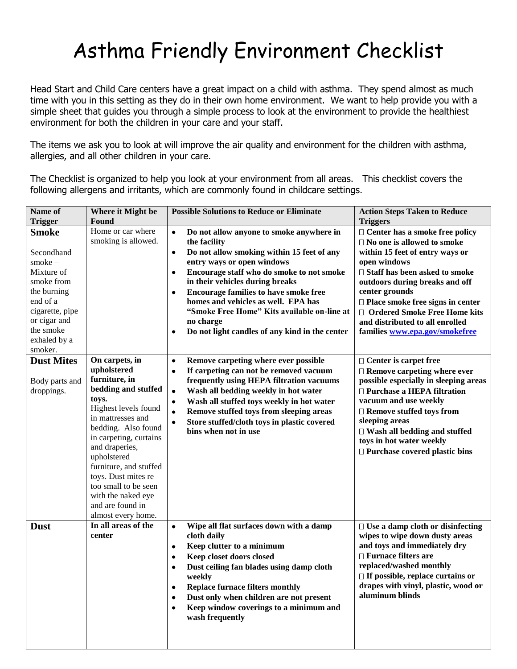## Asthma Friendly Environment Checklist

Head Start and Child Care centers have a great impact on a child with asthma. They spend almost as much time with you in this setting as they do in their own home environment. We want to help provide you with a simple sheet that guides you through a simple process to look at the environment to provide the healthiest environment for both the children in your care and your staff.

The items we ask you to look at will improve the air quality and environment for the children with asthma, allergies, and all other children in your care.

The Checklist is organized to help you look at your environment from all areas. This checklist covers the following allergens and irritants, which are commonly found in childcare settings.

| Name of                      | Where it Might be      | <b>Possible Solutions to Reduce or Eliminate</b>            | <b>Action Steps Taken to Reduce</b>                                |
|------------------------------|------------------------|-------------------------------------------------------------|--------------------------------------------------------------------|
| <b>Trigger</b>               | Found                  |                                                             | <b>Triggers</b>                                                    |
| <b>Smoke</b>                 | Home or car where      | Do not allow anyone to smoke anywhere in<br>$\bullet$       | $\Box$ Center has a smoke free policy                              |
|                              | smoking is allowed.    | the facility                                                | $\Box$ No one is allowed to smoke                                  |
| Secondhand                   |                        | Do not allow smoking within 15 feet of any<br>$\bullet$     | within 15 feet of entry ways or                                    |
| $smoke-$                     |                        | entry ways or open windows                                  | open windows                                                       |
| Mixture of                   |                        | Encourage staff who do smoke to not smoke<br>$\bullet$      | □ Staff has been asked to smoke                                    |
| smoke from                   |                        | in their vehicles during breaks                             | outdoors during breaks and off                                     |
| the burning                  |                        | <b>Encourage families to have smoke free</b><br>$\bullet$   | center grounds                                                     |
| end of a                     |                        | homes and vehicles as well. EPA has                         | $\Box$ Place smoke free signs in center                            |
| cigarette, pipe              |                        | "Smoke Free Home" Kits available on-line at                 | □ Ordered Smoke Free Home kits                                     |
| or cigar and                 |                        | no charge                                                   | and distributed to all enrolled                                    |
| the smoke                    |                        | Do not light candles of any kind in the center<br>$\bullet$ | families www.epa.gov/smokefree                                     |
| exhaled by a<br>smoker.      |                        |                                                             |                                                                    |
| <b>Dust Mites</b>            | On carpets, in         | Remove carpeting where ever possible<br>$\bullet$           |                                                                    |
|                              | upholstered            | If carpeting can not be removed vacuum<br>$\bullet$         | $\Box$ Center is carpet free<br>$\Box$ Remove carpeting where ever |
|                              | furniture, in          | frequently using HEPA filtration vacuums                    | possible especially in sleeping areas                              |
| Body parts and<br>droppings. | bedding and stuffed    | Wash all bedding weekly in hot water<br>$\bullet$           | □ Purchase a HEPA filtration                                       |
|                              | toys.                  | Wash all stuffed toys weekly in hot water<br>$\bullet$      | vacuum and use weekly                                              |
|                              | Highest levels found   | Remove stuffed toys from sleeping areas<br>$\bullet$        | $\Box$ Remove stuffed toys from                                    |
|                              | in mattresses and      | Store stuffed/cloth toys in plastic covered                 | sleeping areas                                                     |
|                              | bedding. Also found    | bins when not in use                                        | $\Box$ Wash all bedding and stuffed                                |
|                              | in carpeting, curtains |                                                             | toys in hot water weekly                                           |
|                              | and draperies,         |                                                             | □ Purchase covered plastic bins                                    |
|                              | upholstered            |                                                             |                                                                    |
|                              | furniture, and stuffed |                                                             |                                                                    |
|                              | toys. Dust mites re    |                                                             |                                                                    |
|                              | too small to be seen   |                                                             |                                                                    |
|                              | with the naked eye     |                                                             |                                                                    |
|                              | and are found in       |                                                             |                                                                    |
|                              | almost every home.     |                                                             |                                                                    |
| <b>Dust</b>                  | In all areas of the    | Wipe all flat surfaces down with a damp<br>$\bullet$        | $\Box$ Use a damp cloth or disinfecting                            |
|                              | center                 | cloth daily                                                 | wipes to wipe down dusty areas                                     |
|                              |                        | Keep clutter to a minimum<br>$\bullet$                      | and toys and immediately dry                                       |
|                              |                        | Keep closet doors closed<br>$\bullet$                       | $\Box$ Furnace filters are                                         |
|                              |                        | Dust ceiling fan blades using damp cloth<br>$\bullet$       | replaced/washed monthly                                            |
|                              |                        | weekly                                                      | $\Box$ If possible, replace curtains or                            |
|                              |                        | <b>Replace furnace filters monthly</b><br>$\bullet$         | drapes with vinyl, plastic, wood or                                |
|                              |                        | Dust only when children are not present                     | aluminum blinds                                                    |
|                              |                        | Keep window coverings to a minimum and<br>$\bullet$         |                                                                    |
|                              |                        | wash frequently                                             |                                                                    |
|                              |                        |                                                             |                                                                    |
|                              |                        |                                                             |                                                                    |